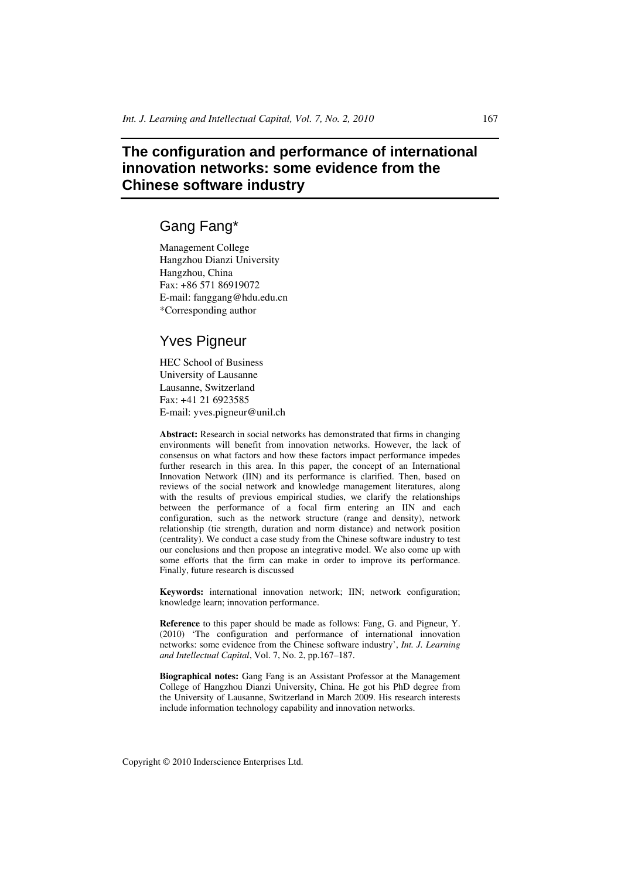# **The configuration and performance of international innovation networks: some evidence from the Chinese software industry**

# Gang Fang\*

Management College Hangzhou Dianzi University Hangzhou, China Fax: +86 571 86919072 E-mail: fanggang@hdu.edu.cn \*Corresponding author

# **Yves Pigneur**

HEC School of Business University of Lausanne Lausanne, Switzerland Fax: +41 21 6923585 E-mail: yves.pigneur@unil.ch

**Abstract:** Research in social networks has demonstrated that firms in changing environments will benefit from innovation networks. However, the lack of consensus on what factors and how these factors impact performance impedes further research in this area. In this paper, the concept of an International Innovation Network (IIN) and its performance is clarified. Then, based on reviews of the social network and knowledge management literatures, along with the results of previous empirical studies, we clarify the relationships between the performance of a focal firm entering an IIN and each configuration, such as the network structure (range and density), network relationship (tie strength, duration and norm distance) and network position (centrality). We conduct a case study from the Chinese software industry to test our conclusions and then propose an integrative model. We also come up with some efforts that the firm can make in order to improve its performance. Finally, future research is discussed

**Keywords:** international innovation network; IIN; network configuration; knowledge learn; innovation performance.

**Reference** to this paper should be made as follows: Fang, G. and Pigneur, Y. (2010) 'The configuration and performance of international innovation networks: some evidence from the Chinese software industry', *Int. J. Learning and Intellectual Capital*, Vol. 7, No. 2, pp.167–187.

**Biographical notes:** Gang Fang is an Assistant Professor at the Management College of Hangzhou Dianzi University, China. He got his PhD degree from the University of Lausanne, Switzerland in March 2009. His research interests include information technology capability and innovation networks.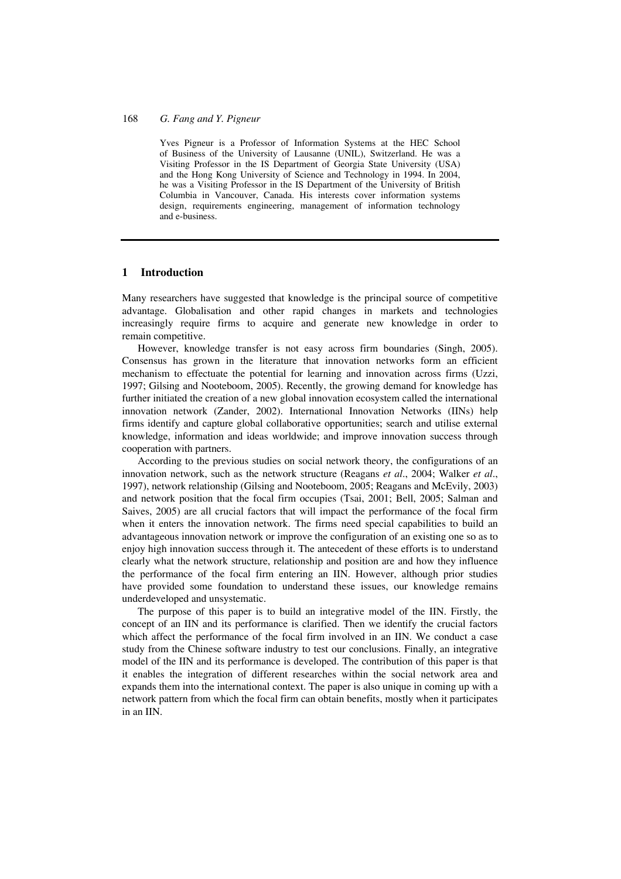Yves Pigneur is a Professor of Information Systems at the HEC School of Business of the University of Lausanne ([UNIL](http://www.unil.ch/)), Switzerland. He was a Visiting Professor in the IS Department of Georgia State University (USA) and the Hong Kong University of Science and Technology in 1994. In 2004, he was a Visiting Professor in the IS Department of the University of British Columbia in Vancouver, Canada. His interests cover information systems design, requirements engineering, management of information technology and e-business.

#### **1 Introduction**

Many researchers have suggested that knowledge is the principal source of competitive advantage. Globalisation and other rapid changes in markets and technologies increasingly require firms to acquire and generate new knowledge in order to remain competitive.

However, knowledge transfer is not easy across firm boundaries (Singh, 2005). Consensus has grown in the literature that innovation networks form an efficient mechanism to effectuate the potential for learning and innovation across firms (Uzzi, 1997; Gilsing and Nooteboom, 2005). Recently, the growing demand for knowledge has further initiated the creation of a new global innovation ecosystem called the international innovation network (Zander, 2002). International Innovation Networks (IINs) help firms identify and capture global collaborative opportunities; search and utilise external knowledge, information and ideas worldwide; and improve innovation success through cooperation with partners.

According to the previous studies on social network theory, the configurations of an innovation network, such as the network structure (Reagans *et al*., 2004; Walker *et al*., 1997), network relationship (Gilsing and Nooteboom, 2005; Reagans and McEvily, 2003) and network position that the focal firm occupies (Tsai, 2001; Bell, 2005; Salman and Saives, 2005) are all crucial factors that will impact the performance of the focal firm when it enters the innovation network. The firms need special capabilities to build an advantageous innovation network or improve the configuration of an existing one so as to enjoy high innovation success through it. The antecedent of these efforts is to understand clearly what the network structure, relationship and position are and how they influence the performance of the focal firm entering an IIN. However, although prior studies have provided some foundation to understand these issues, our knowledge remains underdeveloped and unsystematic.

The purpose of this paper is to build an integrative model of the IIN. Firstly, the concept of an IIN and its performance is clarified. Then we identify the crucial factors which affect the performance of the focal firm involved in an IIN. We conduct a case study from the Chinese software industry to test our conclusions. Finally, an integrative model of the IIN and its performance is developed. The contribution of this paper is that it enables the integration of different researches within the social network area and expands them into the international context. The paper is also unique in coming up with a network pattern from which the focal firm can obtain benefits, mostly when it participates in an IIN.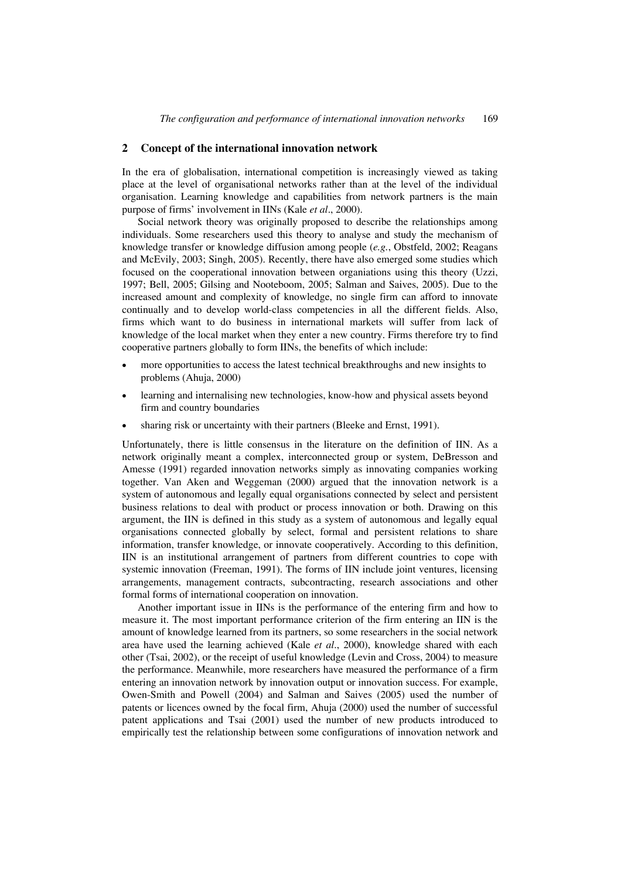## **2 Concept of the international innovation network**

In the era of globalisation, international competition is increasingly viewed as taking place at the level of organisational networks rather than at the level of the individual organisation. Learning knowledge and capabilities from network partners is the main purpose of firms' involvement in IINs (Kale *et al*., 2000).

Social network theory was originally proposed to describe the relationships among individuals. Some researchers used this theory to analyse and study the mechanism of knowledge transfer or knowledge diffusion among people (*e.g.*, Obstfeld, 2002; Reagans and McEvily, 2003; Singh, 2005). Recently, there have also emerged some studies which focused on the cooperational innovation between organiations using this theory (Uzzi, 1997; Bell, 2005; Gilsing and Nooteboom, 2005; Salman and Saives, 2005). Due to the increased amount and complexity of knowledge, no single firm can afford to innovate continually and to develop world-class competencies in all the different fields. Also, firms which want to do business in international markets will suffer from lack of knowledge of the local market when they enter a new country. Firms therefore try to find cooperative partners globally to form IINs, the benefits of which include:

- more opportunities to access the latest technical breakthroughs and new insights to problems (Ahuja, 2000)
- learning and internalising new technologies, know-how and physical assets beyond firm and country boundaries
- sharing risk or uncertainty with their partners (Bleeke and Ernst, 1991).

Unfortunately, there is little consensus in the literature on the definition of IIN. As a network originally meant a complex, interconnected group or system, DeBresson and Amesse (1991) regarded innovation networks simply as innovating companies working together. Van Aken and Weggeman (2000) argued that the innovation network is a system of autonomous and legally equal organisations connected by select and persistent business relations to deal with product or process innovation or both. Drawing on this argument, the IIN is defined in this study as a system of autonomous and legally equal organisations connected globally by select, formal and persistent relations to share information, transfer knowledge, or innovate cooperatively. According to this definition, IIN is an institutional arrangement of partners from different countries to cope with systemic innovation (Freeman, 1991). The forms of IIN include joint ventures, licensing arrangements, management contracts, subcontracting, research associations and other formal forms of international cooperation on innovation.

Another important issue in IINs is the performance of the entering firm and how to measure it. The most important performance criterion of the firm entering an IIN is the amount of knowledge learned from its partners, so some researchers in the social network area have used the learning achieved (Kale *et al*., 2000), knowledge shared with each other (Tsai, 2002), or the receipt of useful knowledge (Levin and Cross, 2004) to measure the performance. Meanwhile, more researchers have measured the performance of a firm entering an innovation network by innovation output or innovation success. For example, Owen-Smith and Powell (2004) and Salman and Saives (2005) used the number of patents or licences owned by the focal firm, Ahuja (2000) used the number of successful patent applications and Tsai (2001) used the number of new products introduced to empirically test the relationship between some configurations of innovation network and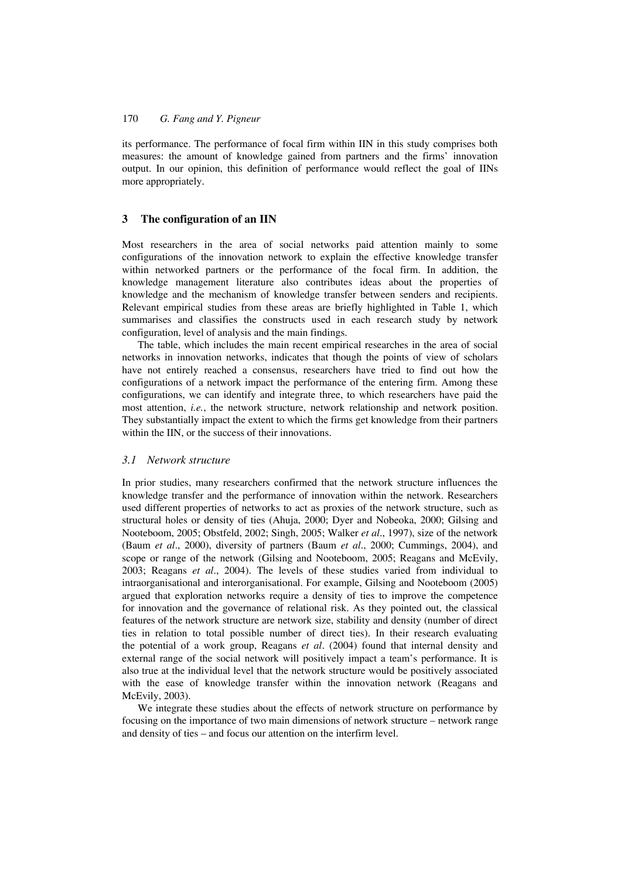its performance. The performance of focal firm within IIN in this study comprises both measures: the amount of knowledge gained from partners and the firms' innovation output. In our opinion, this definition of performance would reflect the goal of IINs more appropriately.

#### **3 The configuration of an IIN**

Most researchers in the area of social networks paid attention mainly to some configurations of the innovation network to explain the effective knowledge transfer within networked partners or the performance of the focal firm. In addition, the knowledge management literature also contributes ideas about the properties of knowledge and the mechanism of knowledge transfer between senders and recipients. Relevant empirical studies from these areas are briefly highlighted in Table 1, which summarises and classifies the constructs used in each research study by network configuration, level of analysis and the main findings.

The table, which includes the main recent empirical researches in the area of social networks in innovation networks, indicates that though the points of view of scholars have not entirely reached a consensus, researchers have tried to find out how the configurations of a network impact the performance of the entering firm. Among these configurations, we can identify and integrate three, to which researchers have paid the most attention, *i.e.*, the network structure, network relationship and network position. They substantially impact the extent to which the firms get knowledge from their partners within the IIN, or the success of their innovations.

#### *3.1 Network structure*

In prior studies, many researchers confirmed that the network structure influences the knowledge transfer and the performance of innovation within the network. Researchers used different properties of networks to act as proxies of the network structure, such as structural holes or density of ties (Ahuja, 2000; Dyer and Nobeoka, 2000; Gilsing and Nooteboom, 2005; Obstfeld, 2002; Singh, 2005; Walker *et al*., 1997), size of the network (Baum *et al*., 2000), diversity of partners (Baum *et al*., 2000; Cummings, 2004), and scope or range of the network (Gilsing and Nooteboom, 2005; Reagans and McEvily, 2003; Reagans *et al*., 2004). The levels of these studies varied from individual to intraorganisational and interorganisational. For example, Gilsing and Nooteboom (2005) argued that exploration networks require a density of ties to improve the competence for innovation and the governance of relational risk. As they pointed out, the classical features of the network structure are network size, stability and density (number of direct ties in relation to total possible number of direct ties). In their research evaluating the potential of a work group, Reagans *et al*. (2004) found that internal density and external range of the social network will positively impact a team's performance. It is also true at the individual level that the network structure would be positively associated with the ease of knowledge transfer within the innovation network (Reagans and McEvily, 2003).

We integrate these studies about the effects of network structure on performance by focusing on the importance of two main dimensions of network structure – network range and density of ties – and focus our attention on the interfirm level.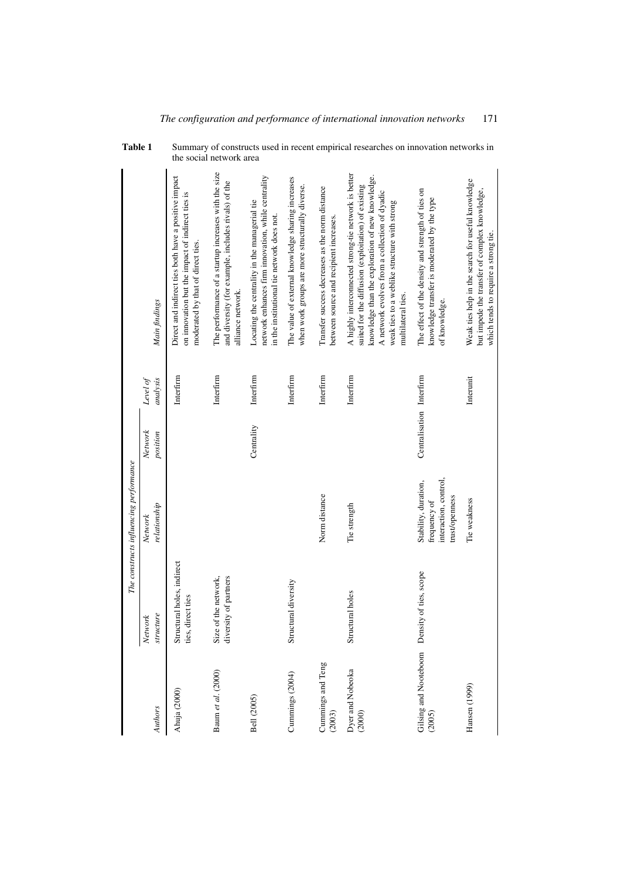|                                 |                                                 | The constructs influencing performance                                          |                          |                      |                                                                                                                                                                                                                                                                                        |                         |
|---------------------------------|-------------------------------------------------|---------------------------------------------------------------------------------|--------------------------|----------------------|----------------------------------------------------------------------------------------------------------------------------------------------------------------------------------------------------------------------------------------------------------------------------------------|-------------------------|
| Authors                         | structure<br>Network                            | relationship<br>Network                                                         | Network<br>position      | Level of<br>analysis | Main findings                                                                                                                                                                                                                                                                          |                         |
| Ahuja (2000)                    | Structural holes, indirect<br>ties, direct ties |                                                                                 |                          | Interfirm            | Direct and indirect ties both have a positive impact<br>on innovation but the impact of indirect ties is<br>moderated by that of direct ties.                                                                                                                                          |                         |
| Baum et al. (2000)              | Size of the network,<br>diversity of partners   |                                                                                 |                          | Interfirm            | The performance of a startup increases with the size<br>and diversity (for example, includes rivals) of the<br>alliance network.                                                                                                                                                       | the social network area |
| Bell (2005)                     |                                                 |                                                                                 | Centrality               | Interfirm            | network enhances firm innovation, while centrality<br>Locating the centrality in the managerial tie<br>in the institutional tie network does not.                                                                                                                                      |                         |
| Cummings (2004)                 | Structural diversity                            |                                                                                 |                          | Interfirm            | The value of external knowledge sharing increases<br>when work groups are more structurally diverse.                                                                                                                                                                                   |                         |
| Cummings and Teng<br>(2003)     |                                                 | Norm distance                                                                   |                          | Interfirm            | Transfer success decreases as the norm distance<br>between source and recipient increases.                                                                                                                                                                                             |                         |
| Dyer and Nobeoka<br>(2000)      | Structural holes                                | Tie strength                                                                    |                          | Interfirm            | A highly interconnected strong-tie network is better<br>knowledge than the exploration of new knowledge.<br>suited for the diffusion (exploitation) of existing<br>A network evolves from a collection of dyadic<br>weak ties to a weblike structure with strong<br>multilateral ties. |                         |
| Gilsing and Nooteboom<br>(2005) | Density of ties, scope                          | interaction, control,<br>Stability, duration,<br>trust/openness<br>frequency of | Centralisation Interfirm |                      | The effect of the density and strength of ties on<br>knowledge transfer is moderated by the type<br>of knowledge.                                                                                                                                                                      |                         |
| Hansen (1999)                   |                                                 | Tie weakness                                                                    |                          | Interunit            | Weak ties help in the search for useful knowledge<br>but impede the transfer of complex knowledge,<br>which tends to require a strong tie.                                                                                                                                             |                         |

*The configuration and performance of international innovation networks* 171

Table 1 Summary of constructs used in recent empirical researches on innovation networks in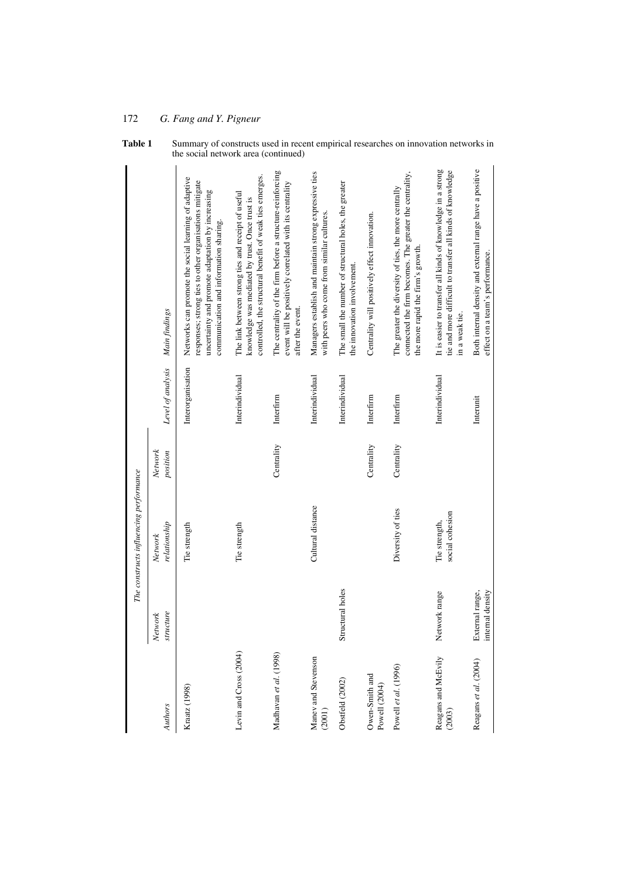|                                 |                                     | The constructs influencing performance |                     |                   |                                                                                                                                                                                                              |
|---------------------------------|-------------------------------------|----------------------------------------|---------------------|-------------------|--------------------------------------------------------------------------------------------------------------------------------------------------------------------------------------------------------------|
| Authors                         | structure<br>Network                | relationship<br>Network                | Network<br>position | Level of analysis | Main findings                                                                                                                                                                                                |
| Kraatz (1998)                   |                                     | Tie strength                           |                     | Interorganisation | Networks can promote the social learning of adaptive<br>responses; strong ties to other organisations mitigate<br>uncertainty and promote adaptation by increasing<br>communication and information sharing. |
| Levin and Cross (2004)          |                                     | Tie strength                           |                     | Interindividual   | controlled, the structural benefit of weak ties emerges.<br>The link between strong ties and receipt of useful<br>knowledge was mediated by trust. Once trust is                                             |
| Madhavan et al. (1998)          |                                     |                                        | Centrality          | Interfirm         | The centrality of the firm before a structure-reinforcing<br>event will be positively correlated with its centrality<br>after the event.                                                                     |
| Manev and Stevenson<br>$(2001)$ |                                     | Cultural distance                      |                     | Interindividual   | Managers establish and maintain strong expressive ties<br>with peers who come from similar cultures.                                                                                                         |
| Obstfeld (2002)                 | Structural holes                    |                                        |                     | Interindividual   | The small the number of structural holes, the greater<br>the innovation involvement.                                                                                                                         |
| Owen-Smith and<br>Powell (2004) |                                     |                                        | Centrality          | Interfirm         | Centrality will positively effect innovation.                                                                                                                                                                |
| Powell et al. (1996)            |                                     | Diversity of ties                      | Centrality          | Interfirm         | connected the firm becomes. The greater the centrality,<br>The greater the diversity of ties, the more centrally<br>the more rapid the firm's growth.                                                        |
| Reagans and McEvily<br>(2003)   | Network range                       | social cohesion<br>Tie strength,       |                     | Interindividual   | It is easier to transfer all kinds of knowledge in a strong<br>tie and more difficult to transfer all kinds of knowledge<br>in a weak tie.                                                                   |
| Reagans et al. (2004)           | internal density<br>External range, |                                        |                     | Interunit         | Both internal density and external range have a positive<br>effect on a team's performance.                                                                                                                  |
|                                 |                                     |                                        |                     |                   |                                                                                                                                                                                                              |

#### **Table 1** Summary of constructs used in recent empirical researches on innovation networks in the social network area (continued)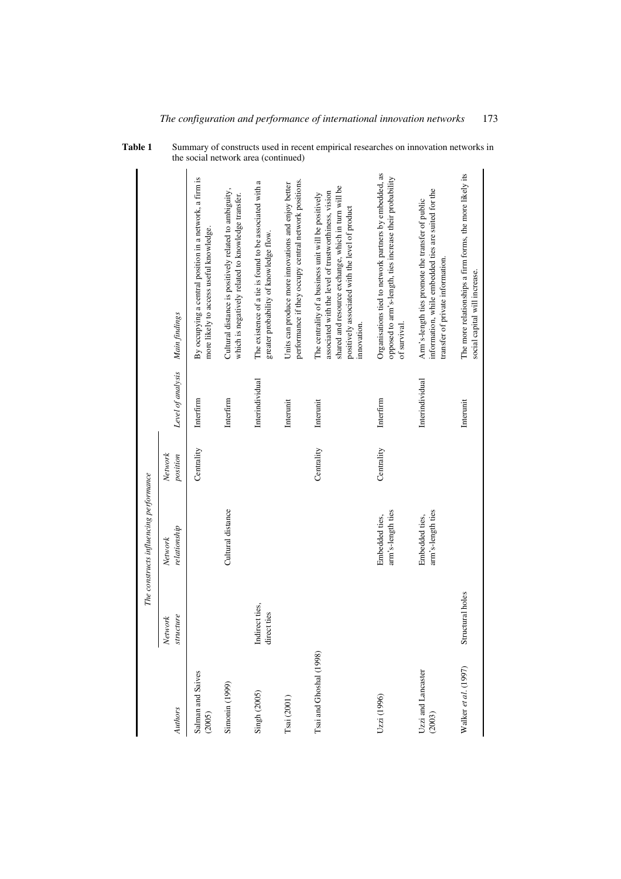|                              |                               | The constructs influencing performance |                     |                   |                                                                                                                                                                                                                                       |
|------------------------------|-------------------------------|----------------------------------------|---------------------|-------------------|---------------------------------------------------------------------------------------------------------------------------------------------------------------------------------------------------------------------------------------|
| Authors                      | structure<br>Network          | relationship<br>Network                | Network<br>position | Level of analysis | Main findings                                                                                                                                                                                                                         |
| Salman and Saives<br>(2005)  |                               |                                        | Centrality          | Interfirm         | By occupying a central position in a network, a firm is<br>more likely to access useful knowledge.                                                                                                                                    |
| Simonin (1999)               |                               | Cultural distance                      |                     | Interfirm         | Cultural distance is positively related to ambiguity,<br>which is negatively related to knowledge transfer.                                                                                                                           |
| Singh (2005)                 | Indirect ties,<br>direct ties |                                        |                     | Interindividual   | The existence of a tie is found to be associated with a<br>greater probability of knowledge flow.                                                                                                                                     |
| Tsai (2001)                  |                               |                                        |                     | Interunit         | performance if they occupy central network positions.<br>Units can produce more innovations and enjoy better                                                                                                                          |
| Tsai and Ghoshal (1998)      |                               |                                        | Centrality          | Interunit         | shared and resource exchange, which in turn will be<br>associated with the level of trustworthiness, vision<br>The centrality of a business unit will be positively<br>positively associated with the level of product<br>innovation. |
| Uzzi (1996)                  |                               | arm's-length ties<br>Embedded ties,    | Centrality          | Interfirm         | Organisations tied to network partners by embedded, as<br>opposed to arm's-length, ties increase their probability<br>of survival.                                                                                                    |
| Uzzi and Lancaster<br>(2003) |                               | arm's-length ties<br>Embedded ties,    |                     | Interindividual   | information, while embedded ties are suited for the<br>Arm's-length ties promote the transfer of public<br>transfer of private information.                                                                                           |
| Walker et al. (1997)         | Structural holes              |                                        |                     | Interunit         | The more relationships a firm forms, the more likely its<br>social capital will increase.                                                                                                                                             |

**Table 1** Summary of constructs used in recent empirical researches on innovation networks in the social network area (continued)

*The configuration and performance of international innovation networks* 173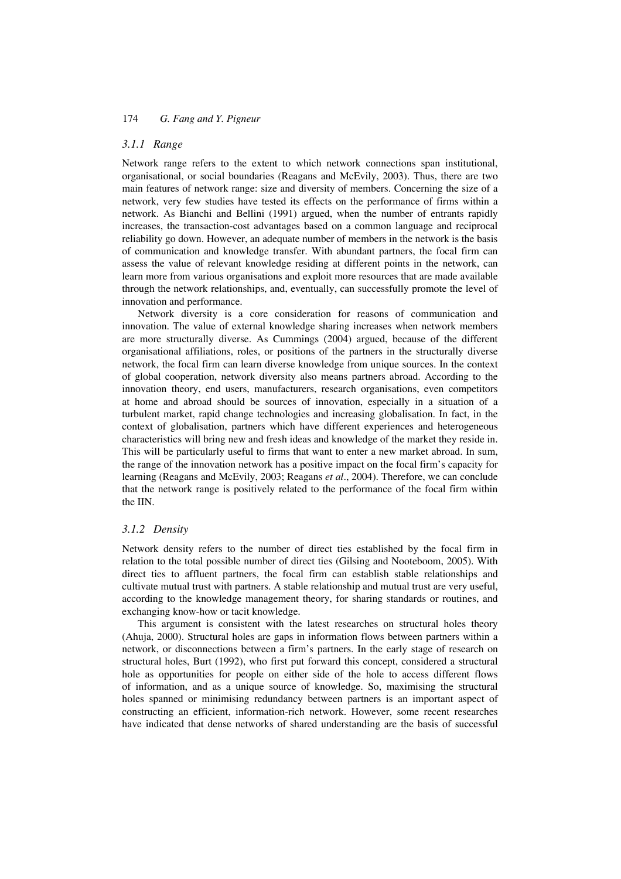### *3.1.1 Range*

Network range refers to the extent to which network connections span institutional, organisational, or social boundaries (Reagans and McEvily, 2003). Thus, there are two main features of network range: size and diversity of members. Concerning the size of a network, very few studies have tested its effects on the performance of firms within a network. As Bianchi and Bellini (1991) argued, when the number of entrants rapidly increases, the transaction-cost advantages based on a common language and reciprocal reliability go down. However, an adequate number of members in the network is the basis of communication and knowledge transfer. With abundant partners, the focal firm can assess the value of relevant knowledge residing at different points in the network, can learn more from various organisations and exploit more resources that are made available through the network relationships, and, eventually, can successfully promote the level of innovation and performance.

Network diversity is a core consideration for reasons of communication and innovation. The value of external knowledge sharing increases when network members are more structurally diverse. As Cummings (2004) argued, because of the different organisational affiliations, roles, or positions of the partners in the structurally diverse network, the focal firm can learn diverse knowledge from unique sources. In the context of global cooperation, network diversity also means partners abroad. According to the innovation theory, end users, manufacturers, research organisations, even competitors at home and abroad should be sources of innovation, especially in a situation of a turbulent market, rapid change technologies and increasing globalisation. In fact, in the context of globalisation, partners which have different experiences and heterogeneous characteristics will bring new and fresh ideas and knowledge of the market they reside in. This will be particularly useful to firms that want to enter a new market abroad. In sum, the range of the innovation network has a positive impact on the focal firm's capacity for learning (Reagans and McEvily, 2003; Reagans *et al*., 2004). Therefore, we can conclude that the network range is positively related to the performance of the focal firm within the IIN.

#### *3.1.2 Density*

Network density refers to the number of direct ties established by the focal firm in relation to the total possible number of direct ties (Gilsing and Nooteboom, 2005). With direct ties to affluent partners, the focal firm can establish stable relationships and cultivate mutual trust with partners. A stable relationship and mutual trust are very useful, according to the knowledge management theory, for sharing standards or routines, and exchanging know-how or tacit knowledge.

This argument is consistent with the latest researches on structural holes theory (Ahuja, 2000). Structural holes are gaps in information flows between partners within a network, or disconnections between a firm's partners. In the early stage of research on structural holes, Burt (1992), who first put forward this concept, considered a structural hole as opportunities for people on either side of the hole to access different flows of information, and as a unique source of knowledge. So, maximising the structural holes spanned or minimising redundancy between partners is an important aspect of constructing an efficient, information-rich network. However, some recent researches have indicated that dense networks of shared understanding are the basis of successful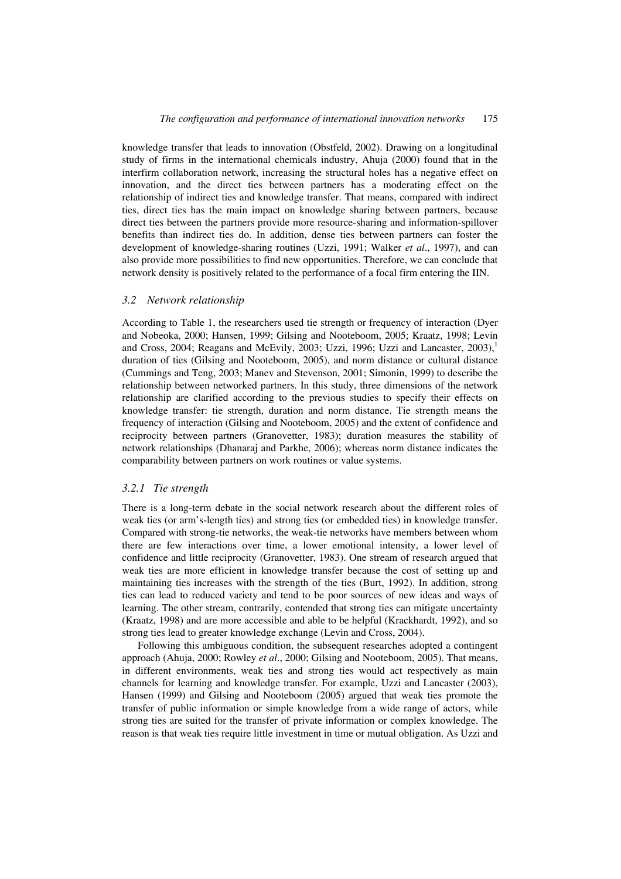knowledge transfer that leads to innovation (Obstfeld, 2002). Drawing on a longitudinal study of firms in the international chemicals industry, Ahuja (2000) found that in the interfirm collaboration network, increasing the structural holes has a negative effect on innovation, and the direct ties between partners has a moderating effect on the relationship of indirect ties and knowledge transfer. That means, compared with indirect ties, direct ties has the main impact on knowledge sharing between partners, because direct ties between the partners provide more resource-sharing and information-spillover benefits than indirect ties do. In addition, dense ties between partners can foster the development of knowledge-sharing routines (Uzzi, 1991; Walker *et al*., 1997), and can also provide more possibilities to find new opportunities. Therefore, we can conclude that network density is positively related to the performance of a focal firm entering the IIN.

#### *3.2 Network relationship*

According to Table 1, the researchers used tie strength or frequency of interaction (Dyer and Nobeoka, 2000; Hansen, 1999; Gilsing and Nooteboom, 2005; Kraatz, 1998; Levin and Cross, 2004; Reagans and McEvily, 2003; Uzzi, 1996; Uzzi and Lancaster, 2003),<sup>1</sup> duration of ties (Gilsing and Nooteboom, 2005), and norm distance or cultural distance (Cummings and Teng, 2003; Manev and Stevenson, 2001; Simonin, 1999) to describe the relationship between networked partners. In this study, three dimensions of the network relationship are clarified according to the previous studies to specify their effects on knowledge transfer: tie strength, duration and norm distance. Tie strength means the frequency of interaction (Gilsing and Nooteboom, 2005) and the extent of confidence and reciprocity between partners (Granovetter, 1983); duration measures the stability of network relationships (Dhanaraj and Parkhe, 2006); whereas norm distance indicates the comparability between partners on work routines or value systems.

#### *3.2.1 Tie strength*

There is a long-term debate in the social network research about the different roles of weak ties (or arm's-length ties) and strong ties (or embedded ties) in knowledge transfer. Compared with strong-tie networks, the weak-tie networks have members between whom there are few interactions over time, a lower emotional intensity, a lower level of confidence and little reciprocity (Granovetter, 1983). One stream of research argued that weak ties are more efficient in knowledge transfer because the cost of setting up and maintaining ties increases with the strength of the ties (Burt, 1992). In addition, strong ties can lead to reduced variety and tend to be poor sources of new ideas and ways of learning. The other stream, contrarily, contended that strong ties can mitigate uncertainty (Kraatz, 1998) and are more accessible and able to be helpful (Krackhardt, 1992), and so strong ties lead to greater knowledge exchange (Levin and Cross, 2004).

Following this ambiguous condition, the subsequent researches adopted a contingent approach (Ahuja, 2000; Rowley *et al*., 2000; Gilsing and Nooteboom, 2005). That means, in different environments, weak ties and strong ties would act respectively as main channels for learning and knowledge transfer. For example, Uzzi and Lancaster (2003), Hansen (1999) and Gilsing and Nooteboom (2005) argued that weak ties promote the transfer of public information or simple knowledge from a wide range of actors, while strong ties are suited for the transfer of private information or complex knowledge. The reason is that weak ties require little investment in time or mutual obligation. As Uzzi and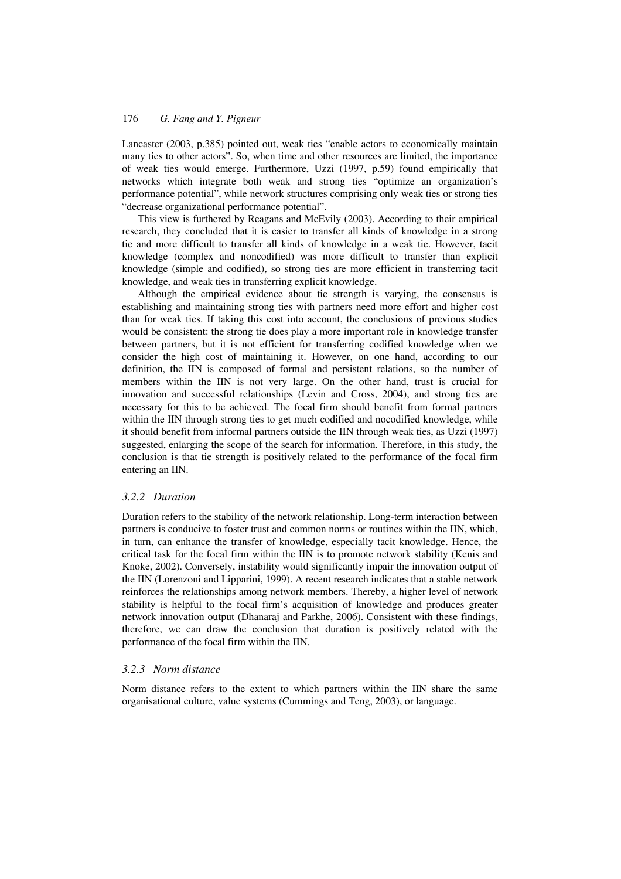Lancaster (2003, p.385) pointed out, weak ties "enable actors to economically maintain many ties to other actors". So, when time and other resources are limited, the importance of weak ties would emerge. Furthermore, Uzzi (1997, p.59) found empirically that networks which integrate both weak and strong ties "optimize an organization's performance potential", while network structures comprising only weak ties or strong ties "decrease organizational performance potential".

This view is furthered by Reagans and McEvily (2003). According to their empirical research, they concluded that it is easier to transfer all kinds of knowledge in a strong tie and more difficult to transfer all kinds of knowledge in a weak tie. However, tacit knowledge (complex and noncodified) was more difficult to transfer than explicit knowledge (simple and codified), so strong ties are more efficient in transferring tacit knowledge, and weak ties in transferring explicit knowledge.

Although the empirical evidence about tie strength is varying, the consensus is establishing and maintaining strong ties with partners need more effort and higher cost than for weak ties. If taking this cost into account, the conclusions of previous studies would be consistent: the strong tie does play a more important role in knowledge transfer between partners, but it is not efficient for transferring codified knowledge when we consider the high cost of maintaining it. However, on one hand, according to our definition, the IIN is composed of formal and persistent relations, so the number of members within the IIN is not very large. On the other hand, trust is crucial for innovation and successful relationships (Levin and Cross, 2004), and strong ties are necessary for this to be achieved. The focal firm should benefit from formal partners within the IIN through strong ties to get much codified and nocodified knowledge, while it should benefit from informal partners outside the IIN through weak ties, as Uzzi (1997) suggested, enlarging the scope of the search for information. Therefore, in this study, the conclusion is that tie strength is positively related to the performance of the focal firm entering an IIN.

#### *3.2.2 Duration*

Duration refers to the stability of the network relationship. Long-term interaction between partners is conducive to foster trust and common norms or routines within the IIN, which, in turn, can enhance the transfer of knowledge, especially tacit knowledge. Hence, the critical task for the focal firm within the IIN is to promote network stability (Kenis and Knoke, 2002). Conversely, instability would significantly impair the innovation output of the IIN (Lorenzoni and Lipparini, 1999). A recent research indicates that a stable network reinforces the relationships among network members. Thereby, a higher level of network stability is helpful to the focal firm's acquisition of knowledge and produces greater network innovation output (Dhanaraj and Parkhe, 2006). Consistent with these findings, therefore, we can draw the conclusion that duration is positively related with the performance of the focal firm within the IIN.

## *3.2.3 Norm distance*

Norm distance refers to the extent to which partners within the IIN share the same organisational culture, value systems (Cummings and Teng, 2003), or language.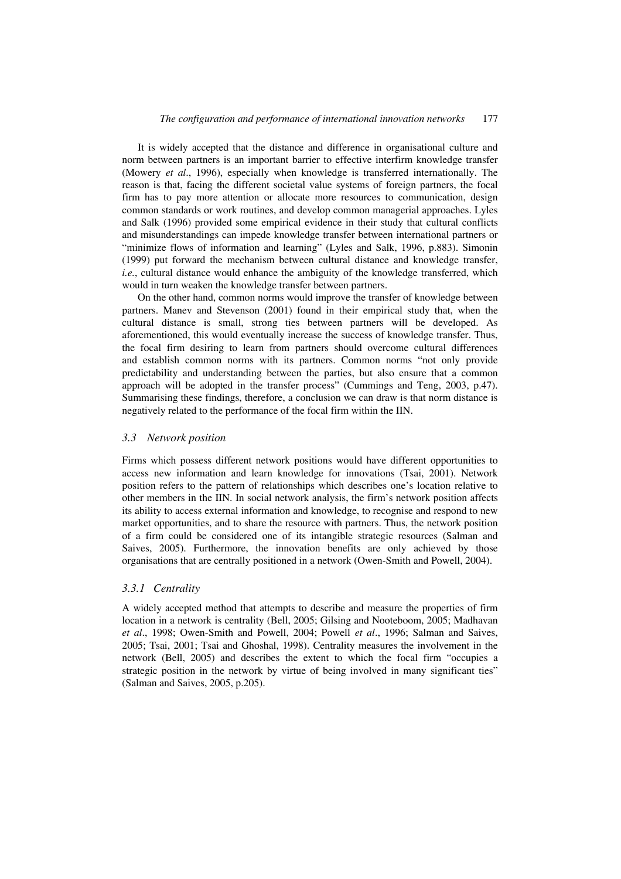It is widely accepted that the distance and difference in organisational culture and norm between partners is an important barrier to effective interfirm knowledge transfer (Mowery *et al*., 1996), especially when knowledge is transferred internationally. The reason is that, facing the different societal value systems of foreign partners, the focal firm has to pay more attention or allocate more resources to communication, design common standards or work routines, and develop common managerial approaches. Lyles and Salk (1996) provided some empirical evidence in their study that cultural conflicts and misunderstandings can impede knowledge transfer between international partners or "minimize flows of information and learning" (Lyles and Salk, 1996, p.883). Simonin (1999) put forward the mechanism between cultural distance and knowledge transfer, *i.e.*, cultural distance would enhance the ambiguity of the knowledge transferred, which would in turn weaken the knowledge transfer between partners.

On the other hand, common norms would improve the transfer of knowledge between partners. Manev and Stevenson (2001) found in their empirical study that, when the cultural distance is small, strong ties between partners will be developed. As aforementioned, this would eventually increase the success of knowledge transfer. Thus, the focal firm desiring to learn from partners should overcome cultural differences and establish common norms with its partners. Common norms "not only provide predictability and understanding between the parties, but also ensure that a common approach will be adopted in the transfer process" (Cummings and Teng, 2003, p.47). Summarising these findings, therefore, a conclusion we can draw is that norm distance is negatively related to the performance of the focal firm within the IIN.

#### *3.3 Network position*

Firms which possess different network positions would have different opportunities to access new information and learn knowledge for innovations (Tsai, 2001). Network position refers to the pattern of relationships which describes one's location relative to other members in the IIN. In social network analysis, the firm's network position affects its ability to access external information and knowledge, to recognise and respond to new market opportunities, and to share the resource with partners. Thus, the network position of a firm could be considered one of its intangible strategic resources (Salman and Saives, 2005). Furthermore, the innovation benefits are only achieved by those organisations that are centrally positioned in a network (Owen-Smith and Powell, 2004).

#### *3.3.1 Centrality*

A widely accepted method that attempts to describe and measure the properties of firm location in a network is centrality (Bell, 2005; Gilsing and Nooteboom, 2005; Madhavan *et al*., 1998; Owen-Smith and Powell, 2004; Powell *et al*., 1996; Salman and Saives, 2005; Tsai, 2001; Tsai and Ghoshal, 1998). Centrality measures the involvement in the network (Bell, 2005) and describes the extent to which the focal firm "occupies a strategic position in the network by virtue of being involved in many significant ties" (Salman and Saives, 2005, p.205).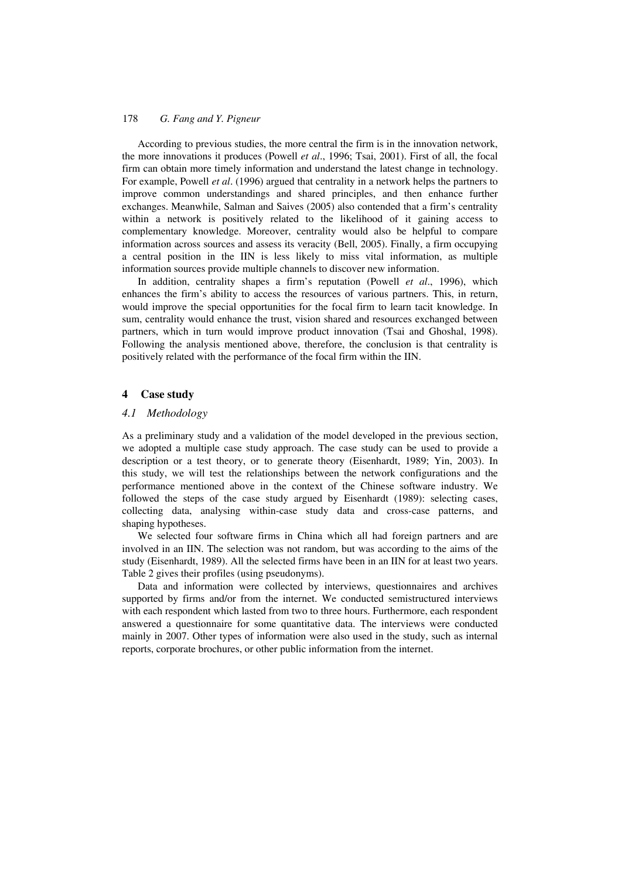According to previous studies, the more central the firm is in the innovation network, the more innovations it produces (Powell *et al*., 1996; Tsai, 2001). First of all, the focal firm can obtain more timely information and understand the latest change in technology. For example, Powell *et al*. (1996) argued that centrality in a network helps the partners to improve common understandings and shared principles, and then enhance further exchanges. Meanwhile, Salman and Saives (2005) also contended that a firm's centrality within a network is positively related to the likelihood of it gaining access to complementary knowledge. Moreover, centrality would also be helpful to compare information across sources and assess its veracity (Bell, 2005). Finally, a firm occupying a central position in the IIN is less likely to miss vital information, as multiple information sources provide multiple channels to discover new information.

In addition, centrality shapes a firm's reputation (Powell *et al*., 1996), which enhances the firm's ability to access the resources of various partners. This, in return, would improve the special opportunities for the focal firm to learn tacit knowledge. In sum, centrality would enhance the trust, vision shared and resources exchanged between partners, which in turn would improve product innovation (Tsai and Ghoshal, 1998). Following the analysis mentioned above, therefore, the conclusion is that centrality is positively related with the performance of the focal firm within the IIN.

#### **4 Case study**

#### *4.1 Methodology*

As a preliminary study and a validation of the model developed in the previous section, we adopted a multiple case study approach. The case study can be used to provide a description or a test theory, or to generate theory (Eisenhardt, 1989; Yin, 2003). In this study, we will test the relationships between the network configurations and the performance mentioned above in the context of the Chinese software industry. We followed the steps of the case study argued by Eisenhardt (1989): selecting cases, collecting data, analysing within-case study data and cross-case patterns, and shaping hypotheses.

We selected four software firms in China which all had foreign partners and are involved in an IIN. The selection was not random, but was according to the aims of the study (Eisenhardt, 1989). All the selected firms have been in an IIN for at least two years. Table 2 gives their profiles (using pseudonyms).

Data and information were collected by interviews, questionnaires and archives supported by firms and/or from the internet. We conducted semistructured interviews with each respondent which lasted from two to three hours. Furthermore, each respondent answered a questionnaire for some quantitative data. The interviews were conducted mainly in 2007. Other types of information were also used in the study, such as internal reports, corporate brochures, or other public information from the internet.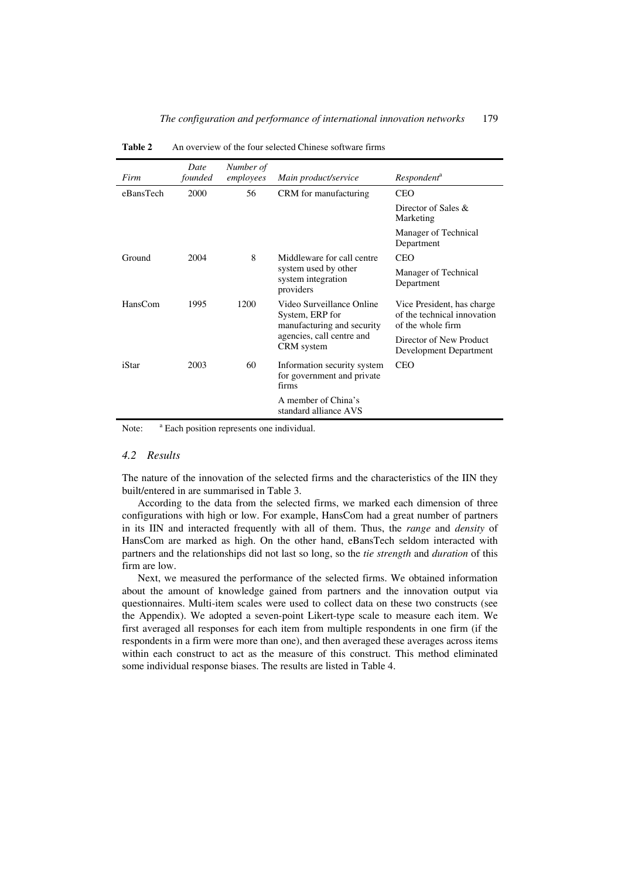| Firm      | Date<br>founded | Number of<br>employees | Main product/service                                                       | Respondent <sup>a</sup>                                                        |
|-----------|-----------------|------------------------|----------------------------------------------------------------------------|--------------------------------------------------------------------------------|
| eBansTech | 2000            | 56                     | CRM for manufacturing                                                      | <b>CEO</b>                                                                     |
|           |                 |                        |                                                                            | Director of Sales &<br>Marketing                                               |
|           |                 |                        |                                                                            | Manager of Technical<br>Department                                             |
| Ground    | 2004            | 8                      | Middleware for call centre                                                 | CEO                                                                            |
|           |                 |                        | system used by other<br>system integration<br>providers                    | Manager of Technical<br>Department                                             |
| HansCom   | 1995            | 1200                   | Video Surveillance Online<br>System, ERP for<br>manufacturing and security | Vice President, has charge<br>of the technical innovation<br>of the whole firm |
|           |                 |                        | agencies, call centre and<br>CRM system                                    | Director of New Product<br>Development Department                              |
| iStar     | 2003            | 60                     | Information security system<br>for government and private<br>firms         | <b>CEO</b>                                                                     |
|           |                 |                        | A member of China's<br>standard alliance AVS                               |                                                                                |

| <b>Table 2</b> | An overview of the four selected Chinese software firms |  |
|----------------|---------------------------------------------------------|--|
|----------------|---------------------------------------------------------|--|

Note: <sup>a</sup> Each position represents one individual.

#### *4.2 Results*

The nature of the innovation of the selected firms and the characteristics of the IIN they built/entered in are summarised in Table 3.

According to the data from the selected firms, we marked each dimension of three configurations with high or low. For example, HansCom had a great number of partners in its IIN and interacted frequently with all of them. Thus, the *range* and *density* of HansCom are marked as high. On the other hand, eBansTech seldom interacted with partners and the relationships did not last so long, so the *tie strength* and *duration* of this firm are low.

Next, we measured the performance of the selected firms. We obtained information about the amount of knowledge gained from partners and the innovation output via questionnaires. Multi-item scales were used to collect data on these two constructs (see the Appendix). We adopted a seven-point Likert-type scale to measure each item. We first averaged all responses for each item from multiple respondents in one firm (if the respondents in a firm were more than one), and then averaged these averages across items within each construct to act as the measure of this construct. This method eliminated some individual response biases. The results are listed in Table 4.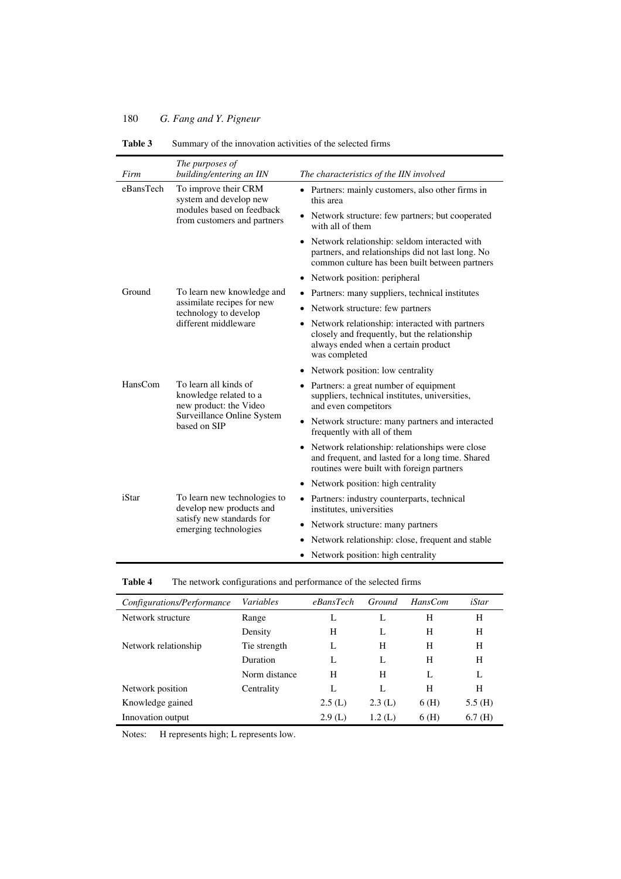| Table 3 | Summary of the innovation activities of the selected firms |
|---------|------------------------------------------------------------|
|---------|------------------------------------------------------------|

| Firm      | The purposes of<br>building/entering an IIN                               | The characteristics of the IIN involved                                                                                                                          |
|-----------|---------------------------------------------------------------------------|------------------------------------------------------------------------------------------------------------------------------------------------------------------|
| eBansTech | To improve their CRM<br>system and develop new                            | • Partners: mainly customers, also other firms in<br>this area                                                                                                   |
|           | modules based on feedback<br>from customers and partners                  | Network structure: few partners; but cooperated<br>$\bullet$<br>with all of them                                                                                 |
|           |                                                                           | Network relationship: seldom interacted with<br>$\bullet$<br>partners, and relationships did not last long. No<br>common culture has been built between partners |
|           |                                                                           | • Network position: peripheral                                                                                                                                   |
| Ground    | To learn new knowledge and                                                | Partners: many suppliers, technical institutes                                                                                                                   |
|           | assimilate recipes for new<br>technology to develop                       | Network structure: few partners                                                                                                                                  |
|           | different middleware                                                      | Network relationship: interacted with partners<br>closely and frequently, but the relationship<br>always ended when a certain product<br>was completed           |
|           |                                                                           | Network position: low centrality<br>$\bullet$                                                                                                                    |
| HansCom   | To learn all kinds of<br>knowledge related to a<br>new product: the Video | Partners: a great number of equipment<br>suppliers, technical institutes, universities,<br>and even competitors                                                  |
|           | Surveillance Online System<br>based on SIP                                | Network structure: many partners and interacted<br>frequently with all of them                                                                                   |
|           |                                                                           | • Network relationship: relationships were close<br>and frequent, and lasted for a long time. Shared<br>routines were built with foreign partners                |
|           |                                                                           | Network position: high centrality<br>$\bullet$                                                                                                                   |
| iStar     | To learn new technologies to<br>develop new products and                  | Partners: industry counterparts, technical<br>$\bullet$<br>institutes, universities                                                                              |
|           | satisfy new standards for<br>emerging technologies                        | Network structure: many partners                                                                                                                                 |
|           |                                                                           | Network relationship: close, frequent and stable                                                                                                                 |
|           |                                                                           | Network position: high centrality                                                                                                                                |

**Table 4** The network configurations and performance of the selected firms

| Configurations/Performance | <i>Variables</i> | eBansTech | Ground | <b>HansCom</b> | iStar     |
|----------------------------|------------------|-----------|--------|----------------|-----------|
| Network structure          | Range            | L         |        | H              | H         |
|                            | Density          | Н         | L      | H              | H         |
| Network relationship       | Tie strength     | L         | H      | H              | H         |
|                            | Duration         | L         | L      | H              | H         |
|                            | Norm distance    | H         | H      | L              | L         |
| Network position           | Centrality       | L         | L      | H              | H         |
| Knowledge gained           |                  | 2.5(L)    | 2.3(L) | 6(H)           | $5.5$ (H) |
| Innovation output          |                  | 2.9(L)    | 1.2(L) | 6(H)           | $6.7$ (H) |

Notes: H represents high; L represents low.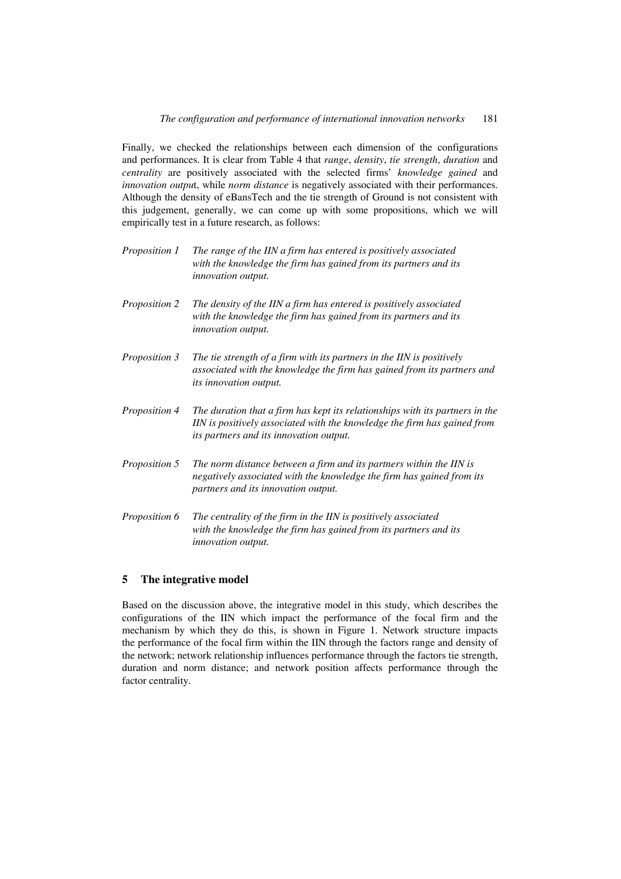Finally, we checked the relationships between each dimension of the configurations and performances. It is clear from Table 4 that *range*, *density*, *tie strength*, *duration* and *centrality* are positively associated with the selected firms' *knowledge gained* and *innovation outpu*t, while *norm distance* is negatively associated with their performances. Although the density of eBansTech and the tie strength of Ground is not consistent with this judgement, generally, we can come up with some propositions, which we will empirically test in a future research, as follows:

- *Proposition 1 The range of the IIN a firm has entered is positively associated with the knowledge the firm has gained from its partners and its innovation output.*
- *Proposition 2 The density of the IIN a firm has entered is positively associated with the knowledge the firm has gained from its partners and its innovation output.*
- *Proposition 3 The tie strength of a firm with its partners in the IIN is positively associated with the knowledge the firm has gained from its partners and its innovation output.*
- *Proposition 4 The duration that a firm has kept its relationships with its partners in the IIN is positively associated with the knowledge the firm has gained from its partners and its innovation output.*
- *Proposition 5 The norm distance between a firm and its partners within the IIN is negatively associated with the knowledge the firm has gained from its partners and its innovation output.*
- *Proposition 6 The centrality of the firm in the IIN is positively associated with the knowledge the firm has gained from its partners and its innovation output.*

## **5 The integrative model**

Based on the discussion above, the integrative model in this study, which describes the configurations of the IIN which impact the performance of the focal firm and the mechanism by which they do this, is shown in Figure 1. Network structure impacts the performance of the focal firm within the IIN through the factors range and density of the network; network relationship influences performance through the factors tie strength, duration and norm distance; and network position affects performance through the factor centrality.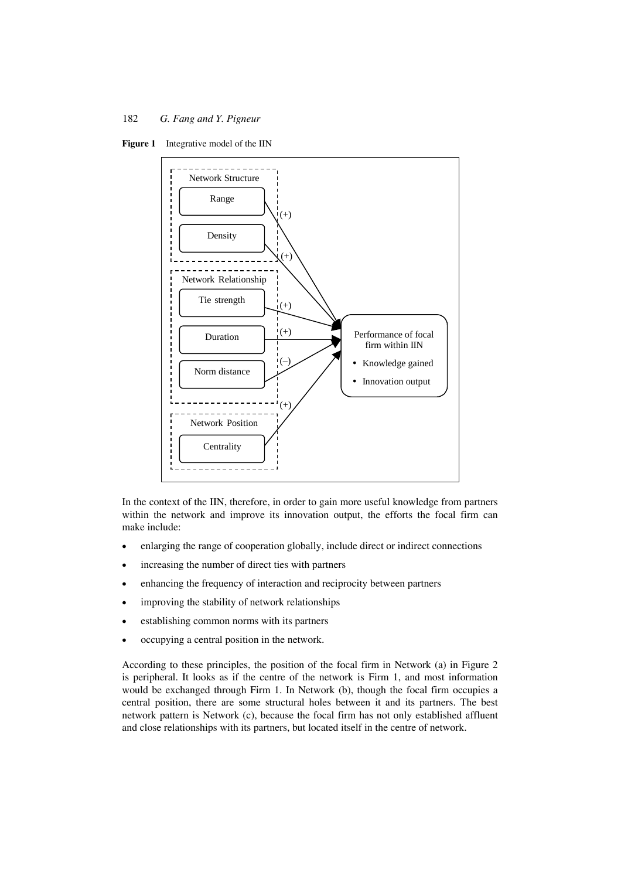

**Figure 1** Integrative model of the IIN

In the context of the IIN, therefore, in order to gain more useful knowledge from partners within the network and improve its innovation output, the efforts the focal firm can make include:

- enlarging the range of cooperation globally, include direct or indirect connections
- increasing the number of direct ties with partners
- enhancing the frequency of interaction and reciprocity between partners
- improving the stability of network relationships
- establishing common norms with its partners
- occupying a central position in the network.

According to these principles, the position of the focal firm in Network (a) in Figure 2 is peripheral. It looks as if the centre of the network is Firm 1, and most information would be exchanged through Firm 1. In Network (b), though the focal firm occupies a central position, there are some structural holes between it and its partners. The best network pattern is Network (c), because the focal firm has not only established affluent and close relationships with its partners, but located itself in the centre of network.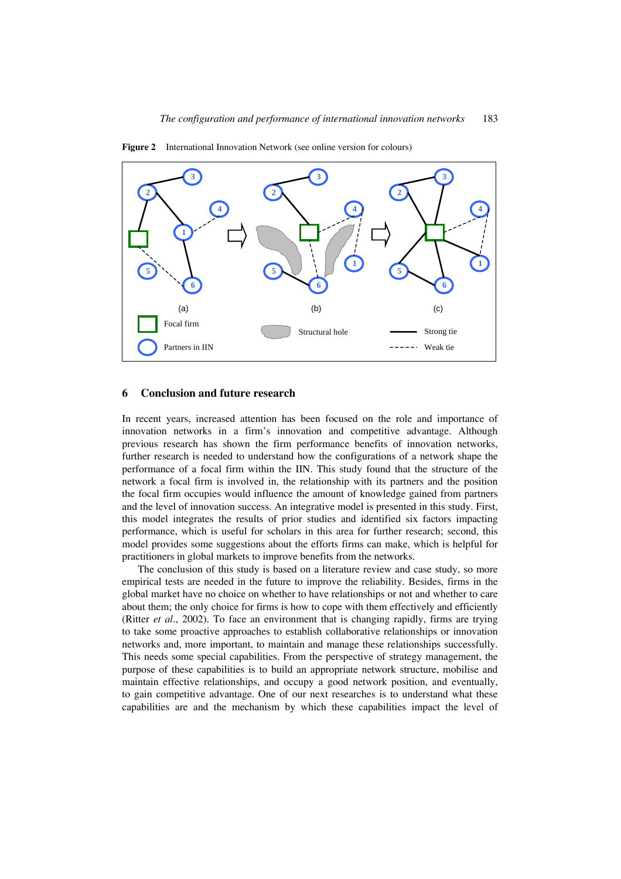

**Figure 2** International Innovation Network (see online version for colours)

## **6 Conclusion and future research**

In recent years, increased attention has been focused on the role and importance of innovation networks in a firm's innovation and competitive advantage. Although previous research has shown the firm performance benefits of innovation networks, further research is needed to understand how the configurations of a network shape the performance of a focal firm within the IIN. This study found that the structure of the network a focal firm is involved in, the relationship with its partners and the position the focal firm occupies would influence the amount of knowledge gained from partners and the level of innovation success. An integrative model is presented in this study. First, this model integrates the results of prior studies and identified six factors impacting performance, which is useful for scholars in this area for further research; second, this model provides some suggestions about the efforts firms can make, which is helpful for practitioners in global markets to improve benefits from the networks.

The conclusion of this study is based on a literature review and case study, so more empirical tests are needed in the future to improve the reliability. Besides, firms in the global market have no choice on whether to have relationships or not and whether to care about them; the only choice for firms is how to cope with them effectively and efficiently (Ritter *et al*., 2002). To face an environment that is changing rapidly, firms are trying to take some proactive approaches to establish collaborative relationships or innovation networks and, more important, to maintain and manage these relationships successfully. This needs some special capabilities. From the perspective of strategy management, the purpose of these capabilities is to build an appropriate network structure, mobilise and maintain effective relationships, and occupy a good network position, and eventually, to gain competitive advantage. One of our next researches is to understand what these capabilities are and the mechanism by which these capabilities impact the level of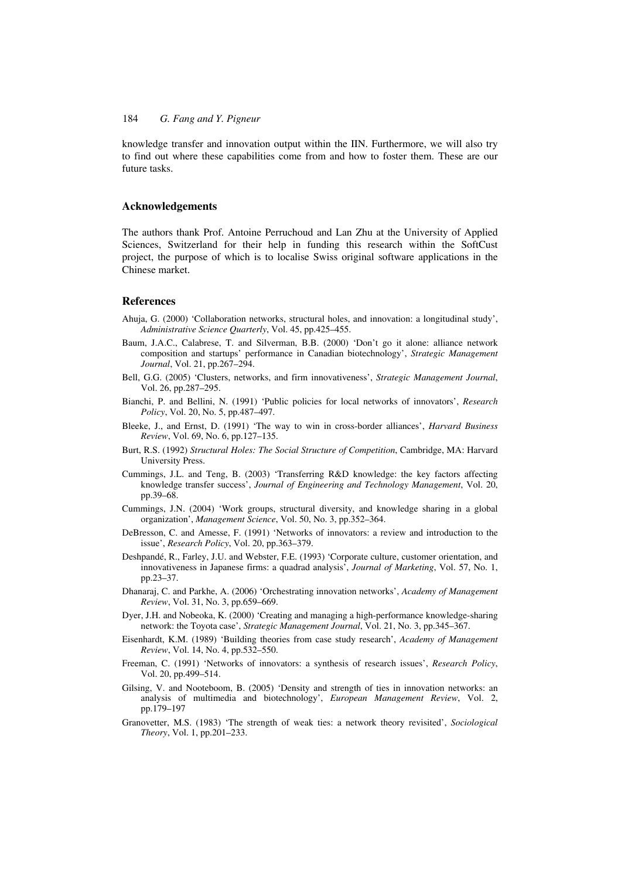knowledge transfer and innovation output within the IIN. Furthermore, we will also try to find out where these capabilities come from and how to foster them. These are our future tasks.

#### **Acknowledgements**

The authors thank Prof. Antoine Perruchoud and Lan Zhu at the University of Applied Sciences, Switzerland for their help in funding this research within the SoftCust project, the purpose of which is to localise Swiss original software applications in the Chinese market.

#### **References**

- Ahuja, G. (2000) 'Collaboration networks, structural holes, and innovation: a longitudinal study', *Administrative Science Quarterly*, Vol. 45, pp.425–455.
- Baum, J.A.C., Calabrese, T. and Silverman, B.B. (2000) 'Don't go it alone: alliance network composition and startups' performance in Canadian biotechnology', *Strategic Management Journal*, Vol. 21, pp.267–294.
- Bell, G.G. (2005) 'Clusters, networks, and firm innovativeness', *Strategic Management Journal*, Vol. 26, pp.287–295.
- Bianchi, P. and Bellini, N. (1991) 'Public policies for local networks of innovators', *Research Policy*, Vol. 20, No. 5, pp.487–497.
- Bleeke, J., and Ernst, D. (1991) 'The way to win in cross-border alliances', *Harvard Business Review*, Vol. 69, No. 6, pp.127–135.
- Burt, R.S. (1992) *Structural Holes: The Social Structure of Competition*, Cambridge, MA: Harvard University Press.
- Cummings, J.L. and Teng, B. (2003) 'Transferring R&D knowledge: the key factors affecting knowledge transfer success', *Journal of Engineering and Technology Management*, Vol. 20, pp.39–68.
- Cummings, J.N. (2004) 'Work groups, structural diversity, and knowledge sharing in a global organization', *Management Science*, Vol. 50, No. 3, pp.352–364.
- DeBresson, C. and Amesse, F. (1991) 'Networks of innovators: a review and introduction to the issue', *Research Policy*, Vol. 20, pp.363–379.
- Deshpandé, R., Farley, J.U. and Webster, F.E. (1993) 'Corporate culture, customer orientation, and innovativeness in Japanese firms: a quadrad analysis', *Journal of Marketing*, Vol. 57, No. 1, pp.23–37.
- Dhanaraj, C. and Parkhe, A. (2006) 'Orchestrating innovation networks', *Academy of Management Review*, Vol. 31, No. 3, pp.659–669.
- Dyer, J.H. and Nobeoka, K. (2000) 'Creating and managing a high-performance knowledge-sharing network: the Toyota case', *Strategic Management Journal*, Vol. 21, No. 3, pp.345–367.
- Eisenhardt, K.M. (1989) 'Building theories from case study research', *Academy of Management Review*, Vol. 14, No. 4, pp.532–550.
- Freeman, C. (1991) 'Networks of innovators: a synthesis of research issues', *Research Policy*, Vol. 20, pp.499–514.
- Gilsing, V. and Nooteboom, B. (2005) 'Density and strength of ties in innovation networks: an analysis of multimedia and biotechnology', *European Management Review*, Vol. 2, pp.179–197
- Granovetter, M.S. (1983) 'The strength of weak ties: a network theory revisited', *Sociological Theory*, Vol. 1, pp.201–233.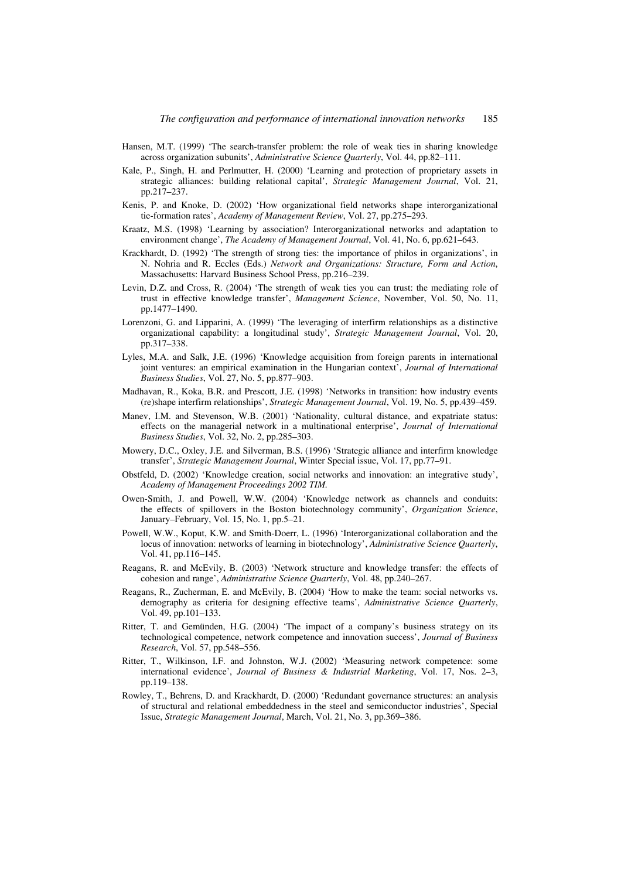- Hansen, M.T. (1999) 'The search-transfer problem: the role of weak ties in sharing knowledge across organization subunits', *Administrative Science Quarterly*, Vol. 44, pp.82–111.
- Kale, P., Singh, H. and Perlmutter, H. (2000) 'Learning and protection of proprietary assets in strategic alliances: building relational capital', *Strategic Management Journal*, Vol. 21, pp.217–237.
- Kenis, P. and Knoke, D. (2002) 'How organizational field networks shape interorganizational tie-formation rates', *Academy of Management Review*, Vol. 27, pp.275–293.
- Kraatz, M.S. (1998) 'Learning by association? Interorganizational networks and adaptation to environment change', *The Academy of Management Journal*, Vol. 41, No. 6, pp.621–643.
- Krackhardt, D. (1992) 'The strength of strong ties: the importance of philos in organizations', in N. Nohria and R. Eccles (Eds.) *Network and Organizations: Structure, Form and Action*, Massachusetts: Harvard Business School Press, pp.216–239.
- Levin, D.Z. and Cross, R. (2004) 'The strength of weak ties you can trust: the mediating role of trust in effective knowledge transfer', *Management Science*, November, Vol. 50, No. 11, pp.1477–1490.
- Lorenzoni, G. and Lipparini, A. (1999) 'The leveraging of interfirm relationships as a distinctive organizational capability: a longitudinal study', *Strategic Management Journal*, Vol. 20, pp.317–338.
- Lyles, M.A. and Salk, J.E. (1996) 'Knowledge acquisition from foreign parents in international joint ventures: an empirical examination in the Hungarian context', *Journal of International Business Studies*, Vol. 27, No. 5, pp.877–903.
- Madhavan, R., Koka, B.R. and Prescott, J.E. (1998) 'Networks in transition: how industry events (re)shape interfirm relationships', *Strategic Management Journal*, Vol. 19, No. 5, pp.439–459.
- Manev, I.M. and Stevenson, W.B. (2001) 'Nationality, cultural distance, and expatriate status: effects on the managerial network in a multinational enterprise', *Journal of International Business Studies*, Vol. 32, No. 2, pp.285–303.
- Mowery, D.C., Oxley, J.E. and Silverman, B.S. (1996) 'Strategic alliance and interfirm knowledge transfer', *Strategic Management Journal*, Winter Special issue, Vol. 17, pp.77–91.
- Obstfeld, D. (2002) 'Knowledge creation, social networks and innovation: an integrative study', *Academy of Management Proceedings 2002 TIM.*
- Owen-Smith, J. and Powell, W.W. (2004) 'Knowledge network as channels and conduits: the effects of spillovers in the Boston biotechnology community', *Organization Science*, January–February, Vol. 15, No. 1, pp.5–21.
- Powell, W.W., Koput, K.W. and Smith-Doerr, L. (1996) 'Interorganizational collaboration and the locus of innovation: networks of learning in biotechnology', *Administrative Science Quarterly*, Vol. 41, pp.116–145.
- Reagans, R. and McEvily, B. (2003) 'Network structure and knowledge transfer: the effects of cohesion and range', *Administrative Science Quarterly*, Vol. 48, pp.240–267.
- Reagans, R., Zucherman, E. and McEvily, B. (2004) 'How to make the team: social networks vs. demography as criteria for designing effective teams', *Administrative Science Quarterly*, Vol. 49, pp.101–133.
- Ritter, T. and Gemünden, H.G. (2004) 'The impact of a company's business strategy on its technological competence, network competence and innovation success', *Journal of Business Research*, Vol. 57, pp.548–556.
- Ritter, T., Wilkinson, I.F. and Johnston, W.J. (2002) 'Measuring network competence: some international evidence', *Journal of Business & Industrial Marketing*, Vol. 17, Nos. 2–3, pp.119–138.
- Rowley, T., Behrens, D. and Krackhardt, D. (2000) 'Redundant governance structures: an analysis of structural and relational embeddedness in the steel and semiconductor industries', Special Issue, *Strategic Management Journal*, March, Vol. 21, No. 3, pp.369–386.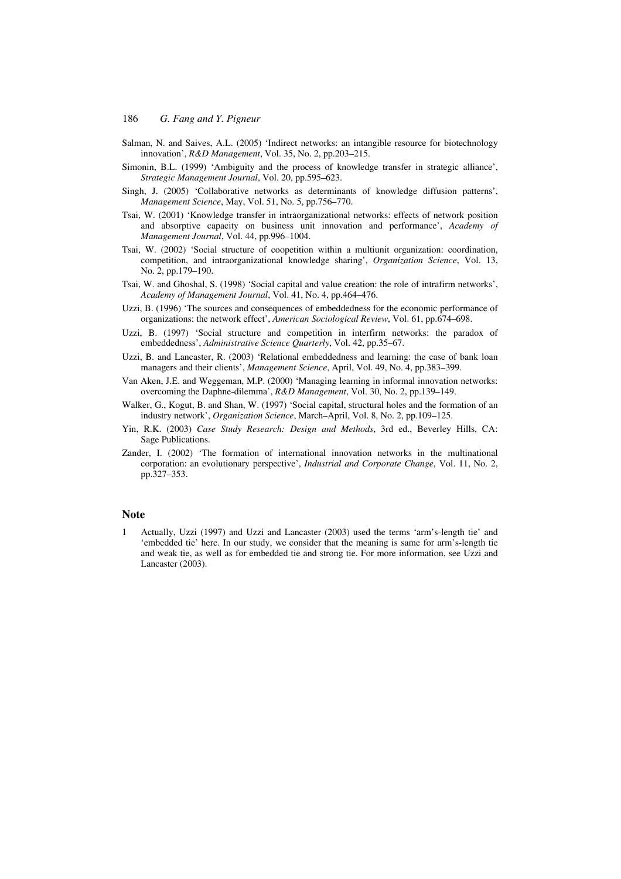- Salman, N. and Saives, A.L. (2005) 'Indirect networks: an intangible resource for biotechnology innovation', *R&D Management*, Vol. 35, No. 2, pp.203–215.
- Simonin, B.L. (1999) 'Ambiguity and the process of knowledge transfer in strategic alliance', *Strategic Management Journal*, Vol. 20, pp.595–623.
- Singh, J. (2005) 'Collaborative networks as determinants of knowledge diffusion patterns', *Management Science*, May, Vol. 51, No. 5, pp.756–770.
- Tsai, W. (2001) 'Knowledge transfer in intraorganizational networks: effects of network position and absorptive capacity on business unit innovation and performance', *Academy of Management Journal*, Vol. 44, pp.996–1004.
- Tsai, W. (2002) 'Social structure of coopetition within a multiunit organization: coordination, competition, and intraorganizational knowledge sharing', *Organization Science*, Vol. 13, No. 2, pp.179–190.
- Tsai, W. and Ghoshal, S. (1998) 'Social capital and value creation: the role of intrafirm networks', *Academy of Management Journal*, Vol. 41, No. 4, pp.464–476.
- Uzzi, B. (1996) 'The sources and consequences of embeddedness for the economic performance of organizations: the network effect', *American Sociological Review*, Vol. 61, pp.674–698.
- Uzzi, B. (1997) 'Social structure and competition in interfirm networks: the paradox of embeddedness', *Administrative Science Quarterly*, Vol. 42, pp.35–67.
- Uzzi, B. and Lancaster, R. (2003) 'Relational embeddedness and learning: the case of bank loan managers and their clients', *Management Science*, April, Vol. 49, No. 4, pp.383–399.
- Van Aken, J.E. and Weggeman, M.P. (2000) 'Managing learning in informal innovation networks: overcoming the Daphne-dilemma', *R&D Management*, Vol. 30, No. 2, pp.139–149.
- Walker, G., Kogut, B. and Shan, W. (1997) 'Social capital, structural holes and the formation of an industry network', *Organization Science*, March–April, Vol. 8, No. 2, pp.109–125.
- Yin, R.K. (2003) *Case Study Research: Design and Methods*, 3rd ed., Beverley Hills, CA: Sage Publications.
- Zander, I. (2002) 'The formation of international innovation networks in the multinational corporation: an evolutionary perspective', *Industrial and Corporate Change*, Vol. 11, No. 2, pp.327–353.

#### **Note**

1 Actually, Uzzi (1997) and Uzzi and Lancaster (2003) used the terms 'arm's-length tie' and 'embedded tie' here. In our study, we consider that the meaning is same for arm's-length tie and weak tie, as well as for embedded tie and strong tie. For more information, see Uzzi and Lancaster (2003).